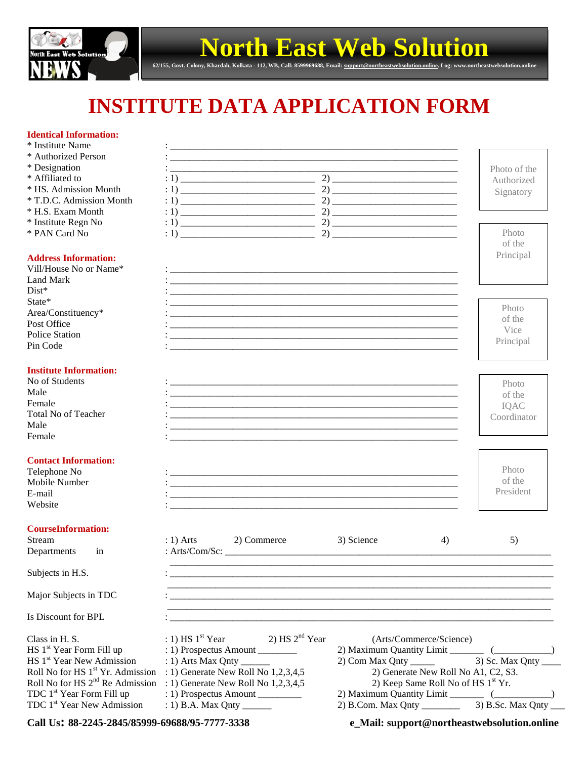

## **North East Web Solution**

**62/155, Govt. Colony, Khardah, Kolkata - 112, WB, Call: 8599969688, Email[: support@northeastwebsolution.online.](mailto:support@northeastwebsolution.online) Log: www.northeastwebsolution.online**

## **INSTITUTE DATA APPLICATION FORM**

## **Identical Information:**

| пенисат ппогшаноп;<br>* Institute Name |                                                                                                                       |                                                                                                                        |              |  |  |
|----------------------------------------|-----------------------------------------------------------------------------------------------------------------------|------------------------------------------------------------------------------------------------------------------------|--------------|--|--|
| * Authorized Person                    |                                                                                                                       |                                                                                                                        |              |  |  |
| * Designation                          | <u> 1990 - Jan Barat, mars and de la component de la component de la component de la component de la component d</u>  |                                                                                                                        | Photo of the |  |  |
| * Affiliated to                        |                                                                                                                       |                                                                                                                        | Authorized   |  |  |
| * HS. Admission Month                  |                                                                                                                       |                                                                                                                        | Signatory    |  |  |
| * T.D.C. Admission Month               |                                                                                                                       |                                                                                                                        |              |  |  |
| * H.S. Exam Month                      |                                                                                                                       |                                                                                                                        |              |  |  |
| * Institute Regn No                    |                                                                                                                       |                                                                                                                        |              |  |  |
| * PAN Card No                          |                                                                                                                       |                                                                                                                        | Photo        |  |  |
|                                        |                                                                                                                       |                                                                                                                        | of the       |  |  |
| <b>Address Information:</b>            |                                                                                                                       |                                                                                                                        | Principal    |  |  |
| Vill/House No or Name*                 | <u> 1980 - Jan James James James James James James James James James James James James James James James James J</u>  |                                                                                                                        |              |  |  |
| <b>Land Mark</b>                       |                                                                                                                       |                                                                                                                        |              |  |  |
| $Dist*$                                |                                                                                                                       |                                                                                                                        |              |  |  |
| State*                                 |                                                                                                                       |                                                                                                                        |              |  |  |
| Area/Constituency*                     |                                                                                                                       |                                                                                                                        | Photo        |  |  |
| Post Office                            |                                                                                                                       |                                                                                                                        | of the       |  |  |
| <b>Police Station</b>                  |                                                                                                                       |                                                                                                                        | Vice         |  |  |
| Pin Code                               |                                                                                                                       |                                                                                                                        | Principal    |  |  |
|                                        |                                                                                                                       |                                                                                                                        |              |  |  |
| <b>Institute Information:</b>          |                                                                                                                       |                                                                                                                        |              |  |  |
| No of Students                         |                                                                                                                       |                                                                                                                        | Photo        |  |  |
| Male                                   |                                                                                                                       |                                                                                                                        | of the       |  |  |
| Female                                 |                                                                                                                       |                                                                                                                        | IQAC         |  |  |
| <b>Total No of Teacher</b>             |                                                                                                                       |                                                                                                                        | Coordinator  |  |  |
| Male                                   | <u> 1980 - Jan Barat, amerikan bahasa di sebagai berasal dan berasal dan berasal dalam berasal dalam berasal dala</u> |                                                                                                                        |              |  |  |
| Female                                 |                                                                                                                       |                                                                                                                        |              |  |  |
| <b>Contact Information:</b>            |                                                                                                                       |                                                                                                                        |              |  |  |
| Telephone No                           |                                                                                                                       |                                                                                                                        | Photo        |  |  |
| Mobile Number                          |                                                                                                                       |                                                                                                                        | of the       |  |  |
| E-mail                                 |                                                                                                                       |                                                                                                                        | President    |  |  |
| Website                                |                                                                                                                       |                                                                                                                        |              |  |  |
|                                        |                                                                                                                       |                                                                                                                        |              |  |  |
| <b>CourseInformation:</b>              |                                                                                                                       |                                                                                                                        |              |  |  |
| Stream                                 | $: 1)$ Arts<br>2) Commerce                                                                                            | 3) Science<br>4)                                                                                                       | 5)           |  |  |
| Departments<br>in                      | : Arts/Com/Sc: $\_\_$                                                                                                 |                                                                                                                        |              |  |  |
|                                        |                                                                                                                       |                                                                                                                        |              |  |  |
| Subjects in H.S.                       |                                                                                                                       |                                                                                                                        |              |  |  |
| Major Subjects in TDC                  |                                                                                                                       |                                                                                                                        |              |  |  |
| Is Discount for BPL                    |                                                                                                                       | <u> 1989 - Jan James Barnett, mars and de la provincia de la provincia de la provincia de la provincia de la provi</u> |              |  |  |
| Class in H. S.                         | 2) HS $2nd$ Year<br>$: 1)$ HS $1st$ Year                                                                              | (Arts/Commerce/Science)                                                                                                |              |  |  |
| HS 1 <sup>st</sup> Year Form Fill up   | : 1) Prospectus Amount                                                                                                |                                                                                                                        |              |  |  |
| HS 1 <sup>st</sup> Year New Admission  |                                                                                                                       | $2)$ Com Max Qnty _______                                                                                              |              |  |  |
|                                        | Roll No for HS $1st$ Yr. Admission : 1) Generate New Roll No 1,2,3,4,5                                                | 2) Generate New Roll No A1, C2, S3.                                                                                    |              |  |  |

Roll No for HS  $2<sup>nd</sup>$  Re Admission : 1) Generate New Roll No 1,2,3,4,5 2) Keep Same Roll No of HS  $1<sup>st</sup>$  Yr.

TDC  $1^{st}$  Year Form Fill up : 1) Prospectus Amount \_\_\_\_\_\_\_\_ 2) Maximum Quantity Limit \_\_\_\_\_\_ (\_\_\_\_\_\_\_\_\_\_\_) TDC 1<sup>st</sup> Year Form Fill up : 1) Prospectus Amount \_\_\_\_\_\_\_\_\_\_ 2) Maximum Quantity Limit \_\_\_\_\_\_ (\_\_\_\_\_\_\_\_)<br>TDC 1<sup>st</sup> Year New Admission : 1) B.A. Max Qnty \_\_\_\_\_\_ 2) B.Com. Max Qnty \_\_\_\_\_\_\_\_\_ 3) B.Sc. Max Qnty \_\_\_

**Call Us: 88-2245-2845/85999-69688/95-7777-3338 e\_Mail: support@northeastwebsolution.online**